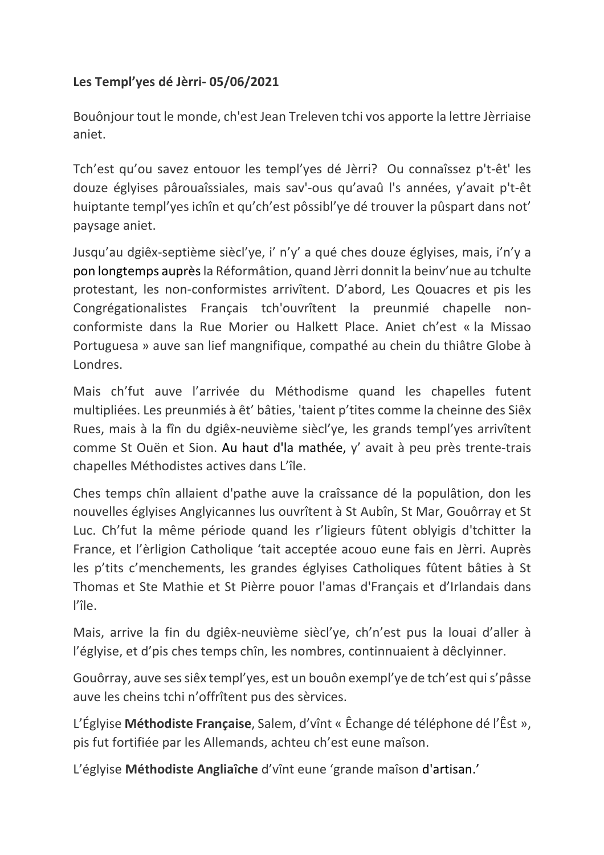## **Les Templ'yes dé Jèrri- 05/06/2021**

Bouônjour tout le monde, ch'est Jean Treleven tchi vos apporte la lettre Jèrriaise aniet.

Tch'est qu'ou savez entouor les templ'yes dé Jèrri? Ou connaîssez p't-êt' les douze églyises pârouaîssiales, mais sav'-ous qu'avaû l's années, y'avait p't-êt huiptante templ'yes ichîn et qu'ch'est pôssibl'ye dé trouver la pûspart dans not' paysage aniet.

Jusqu'au dgiêx-septième siècl'ye, i' n'y' a qué ches douze églyises, mais, i'n'y a pon longtemps auprès la Réformâtion, quand Jèrri donnit la beinv'nue au tchulte protestant, les non-conformistes arrivîtent. D'abord, Les Qouacres et pis les Congrégationalistes Français tch'ouvrîtent la preunmié chapelle nonconformiste dans la Rue Morier ou Halkett Place. Aniet ch'est « la Missao Portuguesa » auve san lief mangnifique, compathé au chein du thiâtre Globe à Londres.

Mais ch'fut auve l'arrivée du Méthodisme quand les chapelles futent multipliées. Les preunmiés à êt' bâties, 'taient p'tites comme la cheinne des Siêx Rues, mais à la fîn du dgiêx-neuvième siècl'ye, les grands templ'yes arrivîtent comme St Ouën et Sion. Au haut d'la mathée, y' avait à peu près trente-trais chapelles Méthodistes actives dans L'île.

Ches temps chîn allaient d'pathe auve la craîssance dé la populâtion, don les nouvelles églyises Anglyicannes lus ouvrîtent à St Aubîn, St Mar, Gouôrray et St Luc. Ch'fut la même période quand les r'ligieurs fûtent oblyigis d'tchitter la France, et l'èrligion Catholique 'tait acceptée acouo eune fais en Jèrri. Auprès les p'tits c'menchements, les grandes églyises Catholiques fûtent bâties à St Thomas et Ste Mathie et St Pièrre pouor l'amas d'Français et d'Irlandais dans l'île.

Mais, arrive la fin du dgiêx-neuvième siècl'ye, ch'n'est pus la louai d'aller à l'églyise, et d'pis ches temps chîn, les nombres, continnuaient à dêclyinner.

Gouôrray, auve ses siêx templ'yes, est un bouôn exempl'ye de tch'est qui s'pâsse auve les cheins tchi n'offrîtent pus des sèrvices.

L'Églyise **Méthodiste Française**, Salem, d'vînt « Êchange dé téléphone dé l'Êst », pis fut fortifiée par les Allemands, achteu ch'est eune maîson.

L'églyise **Méthodiste Angliaîche** d'vînt eune 'grande maîson d'artisan.'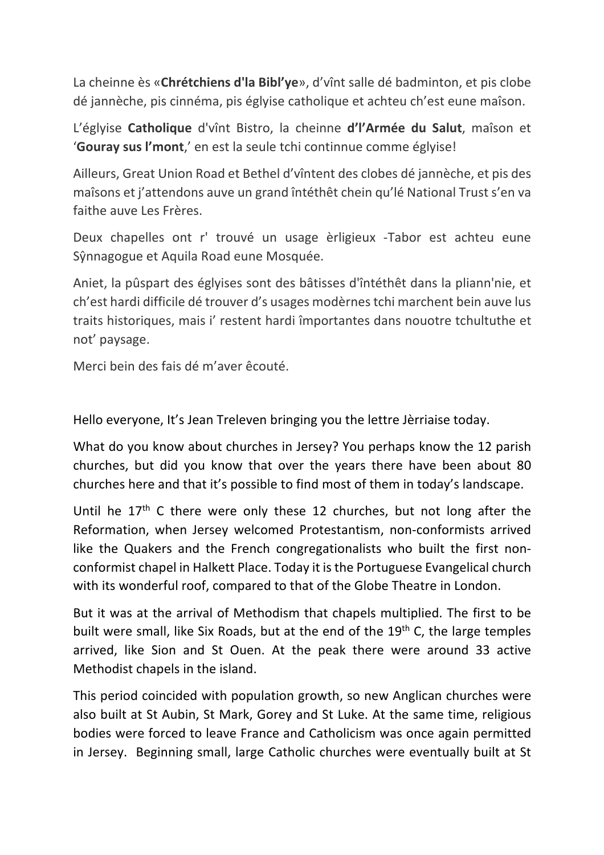La cheinne ès «**Chrétchiens d'la Bibl'ye**», d'vînt salle dé badminton, et pis clobe dé jannèche, pis cinnéma, pis églyise catholique et achteu ch'est eune maîson.

L'églyise **Catholique** d'vînt Bistro, la cheinne **d'l'Armée du Salut**, maîson et '**Gouray sus l'mont**,' en est la seule tchi continnue comme églyise!

Ailleurs, Great Union Road et Bethel d'vîntent des clobes dé jannèche, et pis des maîsons et j'attendons auve un grand întéthêt chein qu'lé National Trust s'en va faithe auve Les Frères.

Deux chapelles ont r' trouvé un usage èrligieux -Tabor est achteu eune Sŷnnagogue et Aquila Road eune Mosquée.

Aniet, la pûspart des églyises sont des bâtisses d'întéthêt dans la pliann'nie, et ch'est hardi difficile dé trouver d's usages modèrnes tchi marchent bein auve lus traits historiques, mais i' restent hardi împortantes dans nouotre tchultuthe et not' paysage.

Merci bein des fais dé m'aver êcouté.

Hello everyone, It's Jean Treleven bringing you the lettre Jèrriaise today.

What do you know about churches in Jersey? You perhaps know the 12 parish churches, but did you know that over the years there have been about 80 churches here and that it's possible to find most of them in today's landscape.

Until he  $17<sup>th</sup>$  C there were only these 12 churches, but not long after the Reformation, when Jersey welcomed Protestantism, non-conformists arrived like the Quakers and the French congregationalists who built the first nonconformist chapel in Halkett Place. Today it is the Portuguese Evangelical church with its wonderful roof, compared to that of the Globe Theatre in London.

But it was at the arrival of Methodism that chapels multiplied. The first to be built were small, like Six Roads, but at the end of the 19<sup>th</sup> C, the large temples arrived, like Sion and St Ouen. At the peak there were around 33 active Methodist chapels in the island.

This period coincided with population growth, so new Anglican churches were also built at St Aubin, St Mark, Gorey and St Luke. At the same time, religious bodies were forced to leave France and Catholicism was once again permitted in Jersey. Beginning small, large Catholic churches were eventually built at St